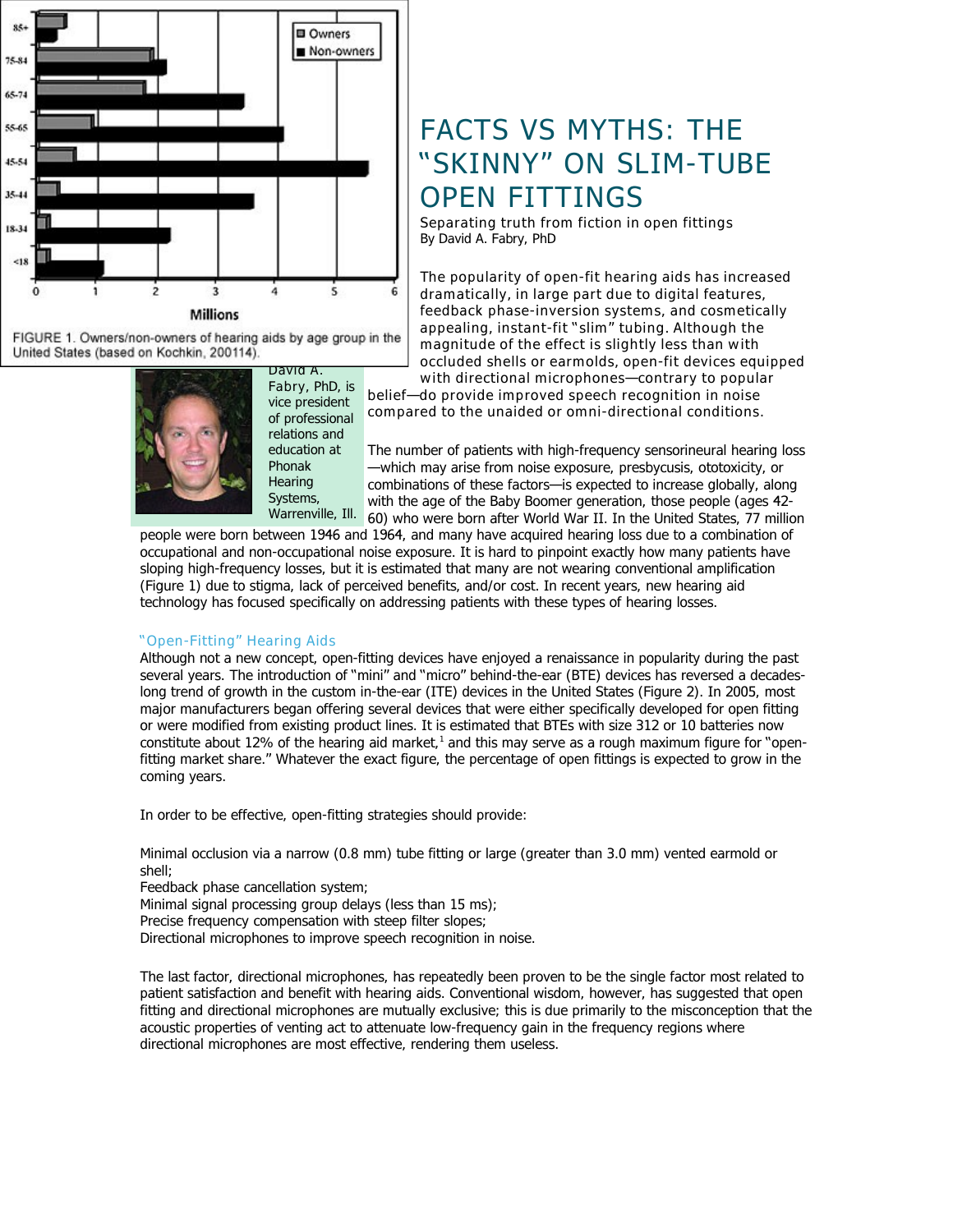

FIGURE 1. Owners/non-owners of hearing aids by age group in the United States (based on Kochkin, 200114).



**Fabry**, PhD, is vice president of professional relations and education at Phonak **Hearing** Systems,

**David A.**

# FACTS VS MYTHS: THE "SKINNY" ON SLIM-TUBE OPEN FITTINGS

**Separating truth from fiction in open fittings** By David A. Fabry, PhD

**The popularity of open-fit hearing aids has increased dramatically, in large part due to digital features, feedback phase-inversion systems, and cosmetically appealing, instant-fit "slim" tubing. Although the magnitude of the effect is slightly less than with occluded shells or earmolds, open-fit devices equipped with directional microphones—contrary to popular**

**belief—do provide improved speech recognition in noise compared to the unaided or omni-directional conditions.** 

The number of patients with high-frequency sensorineural hearing loss —which may arise from noise exposure, presbycusis, ototoxicity, or combinations of these factors—is expected to increase globally, along with the age of the Baby Boomer generation, those people (ages 42- Warrenville, Ill. 60) who were born after World War II. In the United States, 77 million

people were born between 1946 and 1964, and many have acquired hearing loss due to a combination of occupational and non-occupational noise exposure. It is hard to pinpoint exactly how many patients have sloping high-frequency losses, but it is estimated that many are not wearing conventional amplification (Figure 1) due to stigma, lack of perceived benefits, and/or cost. In recent years, new hearing aid technology has focused specifically on addressing patients with these types of hearing losses.

## **"Open-Fitting" Hearing Aids**

Although not a new concept, open-fitting devices have enjoyed a renaissance in popularity during the past several years. The introduction of "mini" and "micro" behind-the-ear (BTE) devices has reversed a decadeslong trend of growth in the custom in-the-ear (ITE) devices in the United States (Figure 2). In 2005, most major manufacturers began offering several devices that were either specifically developed for open fitting or were modified from existing product lines. It is estimated that BTEs with size 312 or 10 batteries now constitute about 12% of the hearing aid market,<sup>1</sup> and this may serve as a rough maximum figure for "openfitting market share." Whatever the exact figure, the percentage of open fittings is expected to grow in the coming years.

In order to be effective, open-fitting strategies should provide:

Minimal occlusion via a narrow (0.8 mm) tube fitting or large (greater than 3.0 mm) vented earmold or shell;

Feedback phase cancellation system;

Minimal signal processing group delays (less than 15 ms);

Precise frequency compensation with steep filter slopes;

Directional microphones to improve speech recognition in noise.

The last factor, directional microphones, has repeatedly been proven to be the single factor most related to patient satisfaction and benefit with hearing aids. Conventional wisdom, however, has suggested that open fitting and directional microphones are mutually exclusive; this is due primarily to the misconception that the acoustic properties of venting act to attenuate low-frequency gain in the frequency regions where directional microphones are most effective, rendering them useless.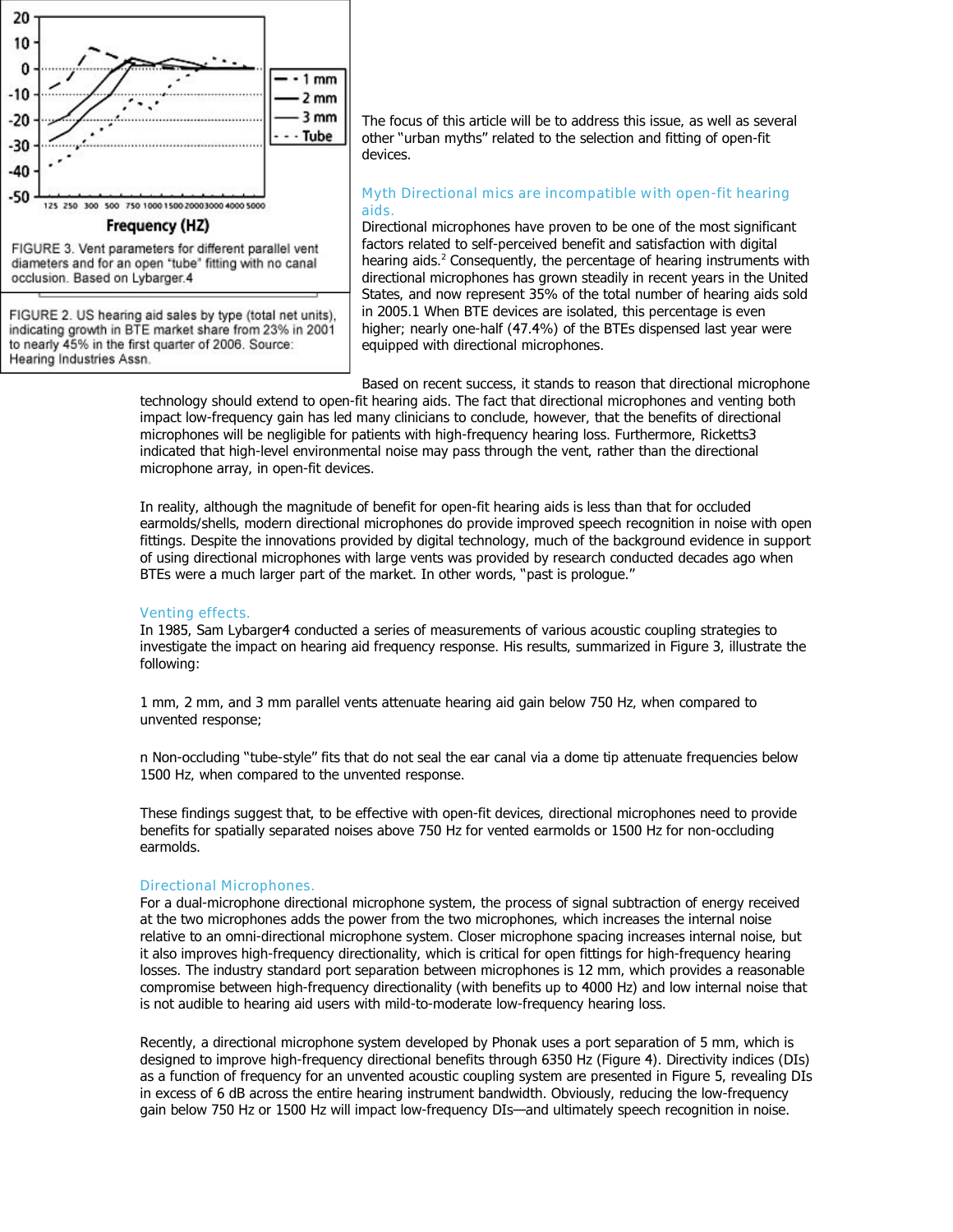

FIGURE 3. Vent parameters for different parallel vent diameters and for an open 'tube' fitting with no canal occlusion. Based on Lybarger.4

FIGURE 2. US hearing aid sales by type (total net units), indicating growth in BTE market share from 23% in 2001 to nearly 45% in the first quarter of 2006. Source: Hearing Industries Assn.

The focus of this article will be to address this issue, as well as several other "urban myths" related to the selection and fitting of open-fit devices.

# **Myth Directional mics are incompatible with open-fit hearing aids.**

Directional microphones have proven to be one of the most significant factors related to self-perceived benefit and satisfaction with digital hearing aids.<sup>2</sup> Consequently, the percentage of hearing instruments with directional microphones has grown steadily in recent years in the United States, and now represent 35% of the total number of hearing aids sold in 2005.1 When BTE devices are isolated, this percentage is even higher; nearly one-half (47.4%) of the BTEs dispensed last year were equipped with directional microphones.

Based on recent success, it stands to reason that directional microphone technology should extend to open-fit hearing aids. The fact that directional microphones and venting both impact low-frequency gain has led many clinicians to conclude, however, that the benefits of directional microphones will be negligible for patients with high-frequency hearing loss. Furthermore, Ricketts3 indicated that high-level environmental noise may pass through the vent, rather than the directional microphone array, in open-fit devices.

In reality, although the magnitude of benefit for open-fit hearing aids is less than that for occluded earmolds/shells, modern directional microphones do provide improved speech recognition in noise with open fittings. Despite the innovations provided by digital technology, much of the background evidence in support of using directional microphones with large vents was provided by research conducted decades ago when BTEs were a much larger part of the market. In other words, "past is prologue."

# **Venting effects.**

In 1985, Sam Lybarger4 conducted a series of measurements of various acoustic coupling strategies to investigate the impact on hearing aid frequency response. His results, summarized in Figure 3, illustrate the following:

1 mm, 2 mm, and 3 mm parallel vents attenuate hearing aid gain below 750 Hz, when compared to unvented response;

n Non-occluding "tube-style" fits that do not seal the ear canal via a dome tip attenuate frequencies below 1500 Hz, when compared to the unvented response.

These findings suggest that, to be effective with open-fit devices, directional microphones need to provide benefits for spatially separated noises above 750 Hz for vented earmolds or 1500 Hz for non-occluding earmolds.

## **Directional Microphones.**

For a dual-microphone directional microphone system, the process of signal subtraction of energy received at the two microphones adds the power from the two microphones, which increases the internal noise relative to an omni-directional microphone system. Closer microphone spacing increases internal noise, but it also improves high-frequency directionality, which is critical for open fittings for high-frequency hearing losses. The industry standard port separation between microphones is 12 mm, which provides a reasonable compromise between high-frequency directionality (with benefits up to 4000 Hz) and low internal noise that is not audible to hearing aid users with mild-to-moderate low-frequency hearing loss.

Recently, a directional microphone system developed by Phonak uses a port separation of 5 mm, which is designed to improve high-frequency directional benefits through 6350 Hz (Figure 4). Directivity indices (DIs) as a function of frequency for an unvented acoustic coupling system are presented in Figure 5, revealing DIs in excess of 6 dB across the entire hearing instrument bandwidth. Obviously, reducing the low-frequency gain below 750 Hz or 1500 Hz will impact low-frequency DIs—and ultimately speech recognition in noise.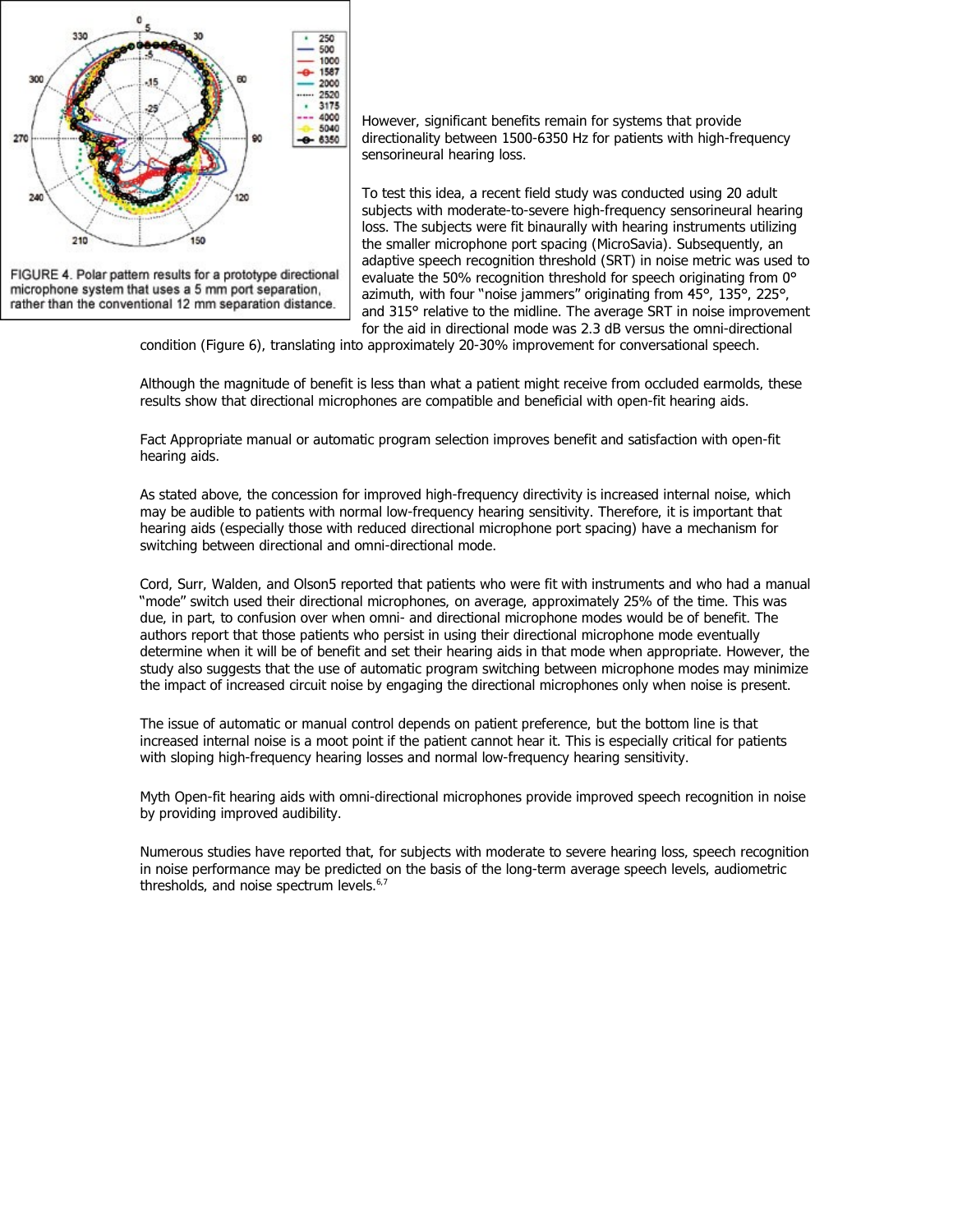

FIGURE 4. Polar pattern results for a prototype directional microphone system that uses a 5 mm port separation, rather than the conventional 12 mm separation distance.

However, significant benefits remain for systems that provide directionality between 1500-6350 Hz for patients with high-frequency sensorineural hearing loss.

To test this idea, a recent field study was conducted using 20 adult subjects with moderate-to-severe high-frequency sensorineural hearing loss. The subjects were fit binaurally with hearing instruments utilizing the smaller microphone port spacing (MicroSavia). Subsequently, an adaptive speech recognition threshold (SRT) in noise metric was used to evaluate the 50% recognition threshold for speech originating from 0° azimuth, with four "noise jammers" originating from 45°, 135°, 225°, and 315° relative to the midline. The average SRT in noise improvement for the aid in directional mode was 2.3 dB versus the omni-directional

condition (Figure 6), translating into approximately 20-30% improvement for conversational speech.

Although the magnitude of benefit is less than what a patient might receive from occluded earmolds, these results show that directional microphones are compatible and beneficial with open-fit hearing aids.

Fact Appropriate manual or automatic program selection improves benefit and satisfaction with open-fit hearing aids.

As stated above, the concession for improved high-frequency directivity is increased internal noise, which may be audible to patients with normal low-frequency hearing sensitivity. Therefore, it is important that hearing aids (especially those with reduced directional microphone port spacing) have a mechanism for switching between directional and omni-directional mode.

Cord, Surr, Walden, and Olson5 reported that patients who were fit with instruments and who had a manual "mode" switch used their directional microphones, on average, approximately 25% of the time. This was due, in part, to confusion over when omni- and directional microphone modes would be of benefit. The authors report that those patients who persist in using their directional microphone mode eventually determine when it will be of benefit and set their hearing aids in that mode when appropriate. However, the study also suggests that the use of automatic program switching between microphone modes may minimize the impact of increased circuit noise by engaging the directional microphones only when noise is present.

The issue of automatic or manual control depends on patient preference, but the bottom line is that increased internal noise is a moot point if the patient cannot hear it. This is especially critical for patients with sloping high-frequency hearing losses and normal low-frequency hearing sensitivity.

Myth Open-fit hearing aids with omni-directional microphones provide improved speech recognition in noise by providing improved audibility.

Numerous studies have reported that, for subjects with moderate to severe hearing loss, speech recognition in noise performance may be predicted on the basis of the long-term average speech levels, audiometric thresholds, and noise spectrum levels.<sup>6,7</sup>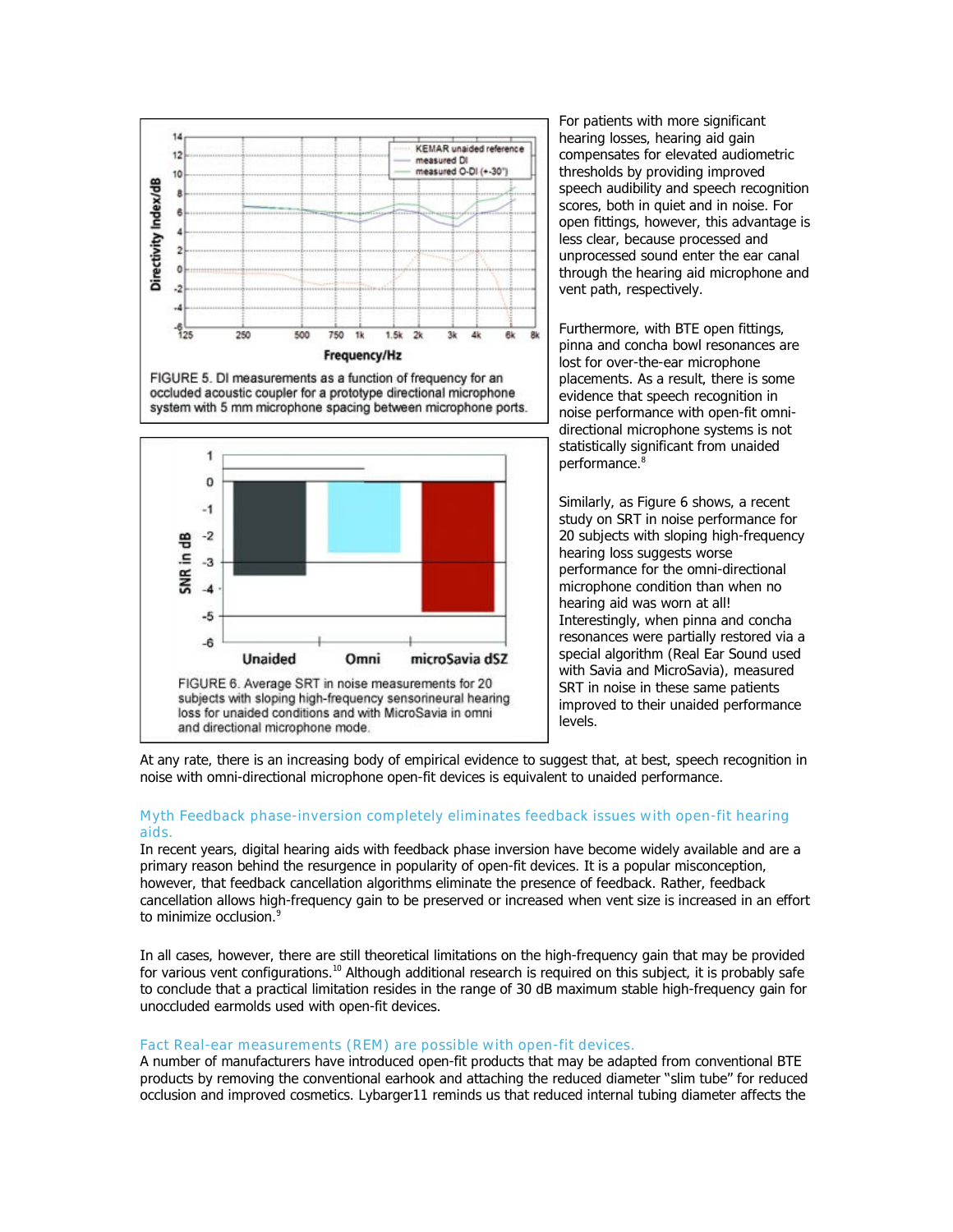

FIGURE 5. DI measurements as a function of frequency for an occluded acoustic coupler for a prototype directional microphone system with 5 mm microphone spacing between microphone ports.



For patients with more significant hearing losses, hearing aid gain compensates for elevated audiometric thresholds by providing improved speech audibility and speech recognition scores, both in quiet and in noise. For open fittings, however, this advantage is less clear, because processed and unprocessed sound enter the ear canal through the hearing aid microphone and vent path, respectively.

Furthermore, with BTE open fittings, pinna and concha bowl resonances are lost for over-the-ear microphone placements. As a result, there is some evidence that speech recognition in noise performance with open-fit omnidirectional microphone systems is not statistically significant from unaided performance.<sup>8</sup>

Similarly, as Figure 6 shows, a recent study on SRT in noise performance for 20 subjects with sloping high-frequency hearing loss suggests worse performance for the omni-directional microphone condition than when no hearing aid was worn at all! Interestingly, when pinna and concha resonances were partially restored via a special algorithm (Real Ear Sound used with Savia and MicroSavia), measured SRT in noise in these same patients improved to their unaided performance levels.

At any rate, there is an increasing body of empirical evidence to suggest that, at best, speech recognition in noise with omni-directional microphone open-fit devices is equivalent to unaided performance.

# **Myth Feedback phase-inversion completely eliminates feedback issues with open-fit hearing aids.**

In recent years, digital hearing aids with feedback phase inversion have become widely available and are a primary reason behind the resurgence in popularity of open-fit devices. It is a popular misconception, however, that feedback cancellation algorithms eliminate the presence of feedback. Rather, feedback cancellation allows high-frequency gain to be preserved or increased when vent size is increased in an effort to minimize occlusion.<sup>9</sup>

In all cases, however, there are still theoretical limitations on the high-frequency gain that may be provided for various vent configurations.<sup>10</sup> Although additional research is required on this subject, it is probably safe to conclude that a practical limitation resides in the range of 30 dB maximum stable high-frequency gain for unoccluded earmolds used with open-fit devices.

# **Fact Real-ear measurements (REM) are possible with open-fit devices.**

A number of manufacturers have introduced open-fit products that may be adapted from conventional BTE products by removing the conventional earhook and attaching the reduced diameter "slim tube" for reduced occlusion and improved cosmetics. Lybarger11 reminds us that reduced internal tubing diameter affects the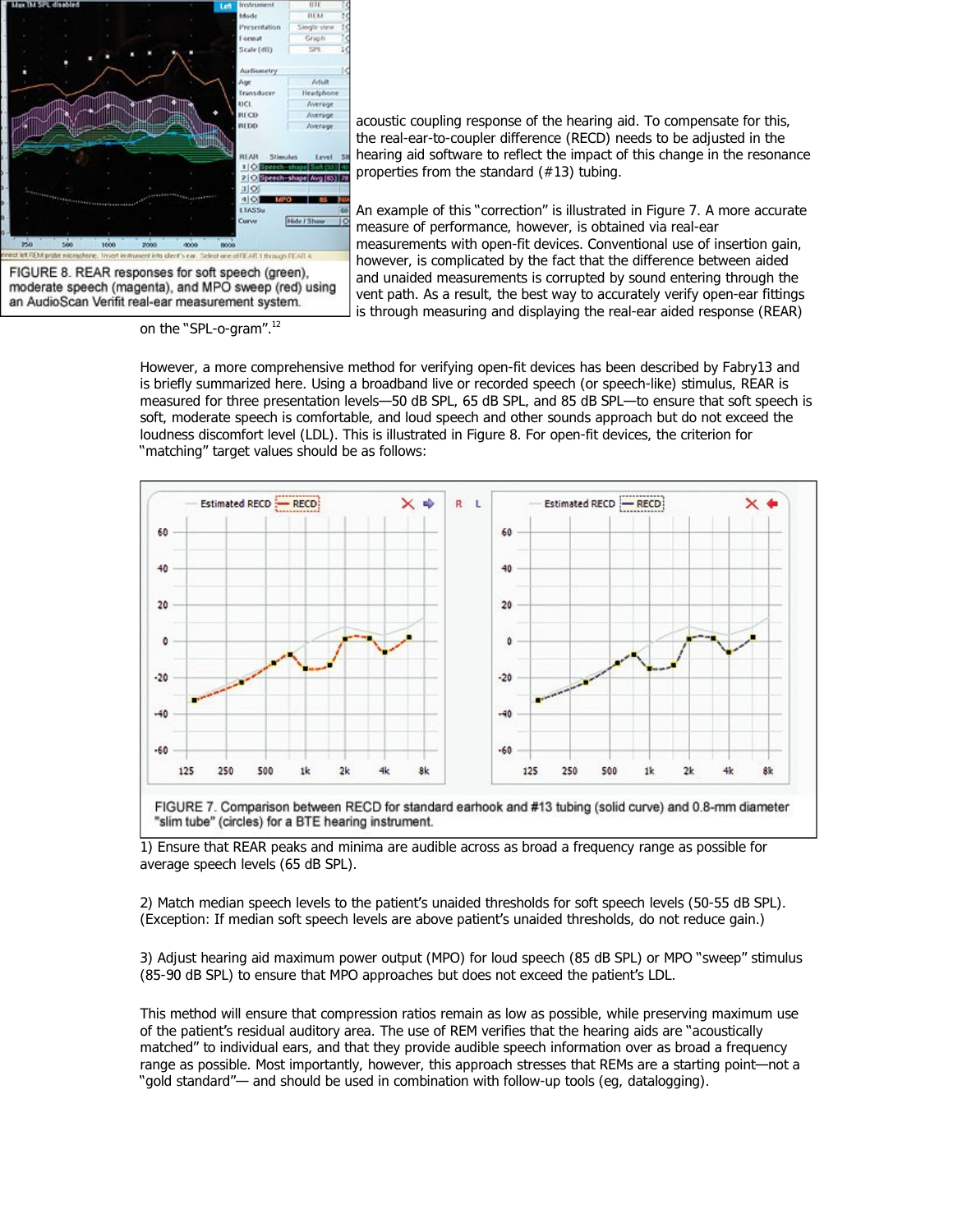

acoustic coupling response of the hearing aid. To compensate for this, the real-ear-to-coupler difference (RECD) needs to be adjusted in the hearing aid software to reflect the impact of this change in the resonance properties from the standard (#13) tubing.

An example of this "correction" is illustrated in Figure 7. A more accurate measure of performance, however, is obtained via real-ear measurements with open-fit devices. Conventional use of insertion gain, however, is complicated by the fact that the difference between aided and unaided measurements is corrupted by sound entering through the vent path. As a result, the best way to accurately verify open-ear fittings is through measuring and displaying the real-ear aided response (REAR)

FIGURE 8. REAR responses for soft speech (green), moderate speech (magenta), and MPO sweep (red) using an AudioScan Verifit real-ear measurement system.

on the "SPL-o-gram".<sup>12</sup>

However, a more comprehensive method for verifying open-fit devices has been described by Fabry13 and is briefly summarized here. Using a broadband live or recorded speech (or speech-like) stimulus, REAR is measured for three presentation levels—50 dB SPL, 65 dB SPL, and 85 dB SPL—to ensure that soft speech is soft, moderate speech is comfortable, and loud speech and other sounds approach but do not exceed the loudness discomfort level (LDL). This is illustrated in Figure 8. For open-fit devices, the criterion for "matching" target values should be as follows:



1) Ensure that REAR peaks and minima are audible across as broad a frequency range as possible for average speech levels (65 dB SPL).

2) Match median speech levels to the patient's unaided thresholds for soft speech levels (50-55 dB SPL). (Exception: If median soft speech levels are above patient's unaided thresholds, do not reduce gain.)

3) Adjust hearing aid maximum power output (MPO) for loud speech (85 dB SPL) or MPO "sweep" stimulus (85-90 dB SPL) to ensure that MPO approaches but does not exceed the patient's LDL.

This method will ensure that compression ratios remain as low as possible, while preserving maximum use of the patient's residual auditory area. The use of REM verifies that the hearing aids are "acoustically matched" to individual ears, and that they provide audible speech information over as broad a frequency range as possible. Most importantly, however, this approach stresses that REMs are a starting point—not a "gold standard"— and should be used in combination with follow-up tools (eg, datalogging).